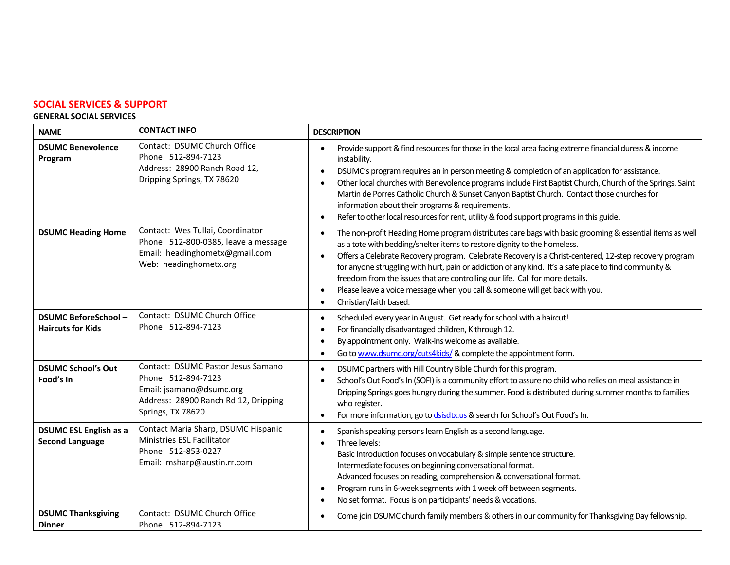# **SOCIAL SERVICES & SUPPORT**

#### **GENERAL SOCIAL SERVICES**

| <b>NAME</b>                                             | <b>CONTACT INFO</b>                                                                                                                                | <b>DESCRIPTION</b>                                                                                                                                                                                                                                                                                                                                                                                                                                                                                                                                                                                                                       |
|---------------------------------------------------------|----------------------------------------------------------------------------------------------------------------------------------------------------|------------------------------------------------------------------------------------------------------------------------------------------------------------------------------------------------------------------------------------------------------------------------------------------------------------------------------------------------------------------------------------------------------------------------------------------------------------------------------------------------------------------------------------------------------------------------------------------------------------------------------------------|
| <b>DSUMC Benevolence</b><br>Program                     | Contact: DSUMC Church Office<br>Phone: 512-894-7123<br>Address: 28900 Ranch Road 12,<br>Dripping Springs, TX 78620                                 | Provide support & find resources for those in the local area facing extreme financial duress & income<br>instability.<br>DSUMC's program requires an in person meeting & completion of an application for assistance.<br>$\bullet$<br>Other local churches with Benevolence programs include First Baptist Church, Church of the Springs, Saint<br>$\bullet$<br>Martin de Porres Catholic Church & Sunset Canyon Baptist Church. Contact those churches for<br>information about their programs & requirements.<br>Refer to other local resources for rent, utility & food support programs in this guide.<br>$\bullet$                  |
| <b>DSUMC Heading Home</b>                               | Contact: Wes Tullai, Coordinator<br>Phone: 512-800-0385, leave a message<br>Email: headinghometx@gmail.com<br>Web: headinghometx.org               | The non-profit Heading Home program distributes care bags with basic grooming & essential items as well<br>as a tote with bedding/shelter items to restore dignity to the homeless.<br>Offers a Celebrate Recovery program. Celebrate Recovery is a Christ-centered, 12-step recovery program<br>$\bullet$<br>for anyone struggling with hurt, pain or addiction of any kind. It's a safe place to find community &<br>freedom from the issues that are controlling our life. Call for more details.<br>Please leave a voice message when you call & someone will get back with you.<br>$\bullet$<br>Christian/faith based.<br>$\bullet$ |
| <b>DSUMC BeforeSchool-</b><br><b>Haircuts for Kids</b>  | Contact: DSUMC Church Office<br>Phone: 512-894-7123                                                                                                | Scheduled every year in August. Get ready for school with a haircut!<br>$\bullet$<br>For financially disadvantaged children, K through 12.<br>$\bullet$<br>By appointment only. Walk-ins welcome as available.<br>Go to www.dsumc.org/cuts4kids/ & complete the appointment form.<br>$\bullet$                                                                                                                                                                                                                                                                                                                                           |
| <b>DSUMC School's Out</b><br>Food's In                  | Contact: DSUMC Pastor Jesus Samano<br>Phone: 512-894-7123<br>Email: jsamano@dsumc.org<br>Address: 28900 Ranch Rd 12, Dripping<br>Springs, TX 78620 | DSUMC partners with Hill Country Bible Church for this program.<br>$\bullet$<br>School's Out Food's In (SOFI) is a community effort to assure no child who relies on meal assistance in<br>$\bullet$<br>Dripping Springs goes hungry during the summer. Food is distributed during summer months to families<br>who register.<br>For more information, go to dsisdtx.us & search for School's Out Food's In.<br>$\bullet$                                                                                                                                                                                                                |
| <b>DSUMC ESL English as a</b><br><b>Second Language</b> | Contact Maria Sharp, DSUMC Hispanic<br>Ministries ESL Facilitator<br>Phone: 512-853-0227<br>Email: msharp@austin.rr.com                            | Spanish speaking persons learn English as a second language.<br>$\bullet$<br>Three levels:<br>$\bullet$<br>Basic Introduction focuses on vocabulary & simple sentence structure.<br>Intermediate focuses on beginning conversational format.<br>Advanced focuses on reading, comprehension & conversational format.<br>Program runs in 6-week segments with 1 week off between segments.<br>$\bullet$<br>No set format. Focus is on participants' needs & vocations.<br>$\bullet$                                                                                                                                                        |
| <b>DSUMC Thanksgiving</b><br><b>Dinner</b>              | Contact: DSUMC Church Office<br>Phone: 512-894-7123                                                                                                | Come join DSUMC church family members & others in our community for Thanksgiving Day fellowship.<br>$\bullet$                                                                                                                                                                                                                                                                                                                                                                                                                                                                                                                            |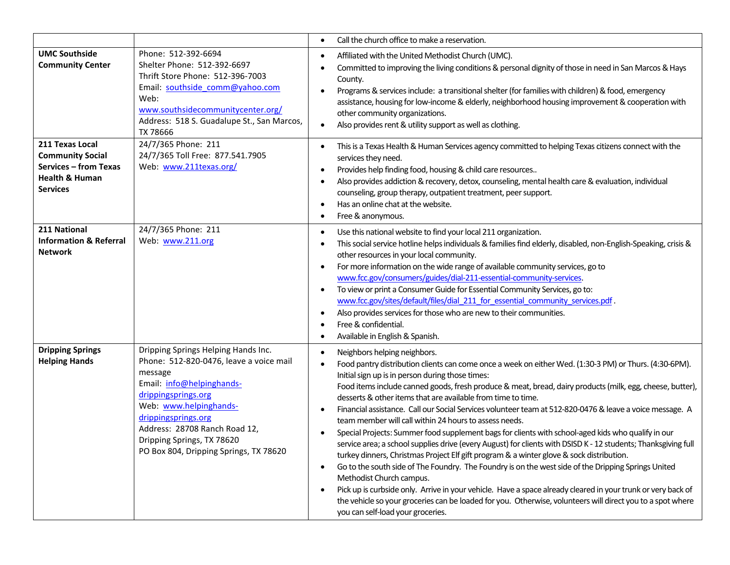|                                                                                                                            |                                                                                                                                                                                                                                                                                                         | Call the church office to make a reservation.<br>$\bullet$                                                                                                                                                                                                                                                                                                                                                                                                                                                                                                                                                                                                                                                                                                                                                                                                                                                                                                                                                                                                                                                                                                                                                                                                                                                                                    |
|----------------------------------------------------------------------------------------------------------------------------|---------------------------------------------------------------------------------------------------------------------------------------------------------------------------------------------------------------------------------------------------------------------------------------------------------|-----------------------------------------------------------------------------------------------------------------------------------------------------------------------------------------------------------------------------------------------------------------------------------------------------------------------------------------------------------------------------------------------------------------------------------------------------------------------------------------------------------------------------------------------------------------------------------------------------------------------------------------------------------------------------------------------------------------------------------------------------------------------------------------------------------------------------------------------------------------------------------------------------------------------------------------------------------------------------------------------------------------------------------------------------------------------------------------------------------------------------------------------------------------------------------------------------------------------------------------------------------------------------------------------------------------------------------------------|
| <b>UMC Southside</b><br><b>Community Center</b>                                                                            | Phone: 512-392-6694<br>Shelter Phone: 512-392-6697<br>Thrift Store Phone: 512-396-7003<br>Email: southside comm@yahoo.com<br>Web:<br>www.southsidecommunitycenter.org/<br>Address: 518 S. Guadalupe St., San Marcos,<br>TX 78666                                                                        | Affiliated with the United Methodist Church (UMC).<br>$\bullet$<br>Committed to improving the living conditions & personal dignity of those in need in San Marcos & Hays<br>٠<br>County.<br>Programs & services include: a transitional shelter (for families with children) & food, emergency<br>$\bullet$<br>assistance, housing for low-income & elderly, neighborhood housing improvement & cooperation with<br>other community organizations.<br>Also provides rent & utility support as well as clothing.<br>$\bullet$                                                                                                                                                                                                                                                                                                                                                                                                                                                                                                                                                                                                                                                                                                                                                                                                                  |
| 211 Texas Local<br><b>Community Social</b><br><b>Services - from Texas</b><br><b>Health &amp; Human</b><br><b>Services</b> | 24/7/365 Phone: 211<br>24/7/365 Toll Free: 877.541.7905<br>Web: www.211texas.org/                                                                                                                                                                                                                       | This is a Texas Health & Human Services agency committed to helping Texas citizens connect with the<br>$\bullet$<br>services they need.<br>Provides help finding food, housing & child care resources<br>$\bullet$<br>Also provides addiction & recovery, detox, counseling, mental health care & evaluation, individual<br>$\bullet$<br>counseling, group therapy, outpatient treatment, peer support.<br>Has an online chat at the website.<br>$\bullet$<br>Free & anonymous.<br>$\bullet$                                                                                                                                                                                                                                                                                                                                                                                                                                                                                                                                                                                                                                                                                                                                                                                                                                                  |
| 211 National<br><b>Information &amp; Referral</b><br><b>Network</b>                                                        | 24/7/365 Phone: 211<br>Web: www.211.org                                                                                                                                                                                                                                                                 | Use this national website to find your local 211 organization.<br>٠<br>This social service hotline helps individuals & families find elderly, disabled, non-English-Speaking, crisis &<br>$\bullet$<br>other resources in your local community.<br>For more information on the wide range of available community services, go to<br>$\bullet$<br>www.fcc.gov/consumers/guides/dial-211-essential-community-services.<br>To view or print a Consumer Guide for Essential Community Services, go to:<br>$\bullet$<br>www.fcc.gov/sites/default/files/dial 211 for essential community services.pdf.<br>Also provides services for those who are new to their communities.<br>$\bullet$<br>Free & confidential.<br>٠<br>Available in English & Spanish.                                                                                                                                                                                                                                                                                                                                                                                                                                                                                                                                                                                          |
| <b>Dripping Springs</b><br><b>Helping Hands</b>                                                                            | Dripping Springs Helping Hands Inc.<br>Phone: 512-820-0476, leave a voice mail<br>message<br>Email: info@helpinghands-<br>drippingsprings.org<br>Web: www.helpinghands-<br>drippingsprings.org<br>Address: 28708 Ranch Road 12,<br>Dripping Springs, TX 78620<br>PO Box 804, Dripping Springs, TX 78620 | Neighbors helping neighbors.<br>$\bullet$<br>Food pantry distribution clients can come once a week on either Wed. (1:30-3 PM) or Thurs. (4:30-6PM).<br>$\bullet$<br>Initial sign up is in person during those times:<br>Food items include canned goods, fresh produce & meat, bread, dairy products (milk, egg, cheese, butter),<br>desserts & other items that are available from time to time.<br>Financial assistance. Call our Social Services volunteer team at 512-820-0476 & leave a voice message. A<br>$\bullet$<br>team member will call within 24 hours to assess needs.<br>Special Projects: Summer food supplement bags for clients with school-aged kids who qualify in our<br>٠<br>service area; a school supplies drive (every August) for clients with DSISD K - 12 students; Thanksgiving full<br>turkey dinners, Christmas Project Elf gift program & a winter glove & sock distribution.<br>Go to the south side of The Foundry. The Foundry is on the west side of the Dripping Springs United<br>$\bullet$<br>Methodist Church campus.<br>Pick up is curbside only. Arrive in your vehicle. Have a space already cleared in your trunk or very back of<br>$\bullet$<br>the vehicle so your groceries can be loaded for you. Otherwise, volunteers will direct you to a spot where<br>you can self-load your groceries. |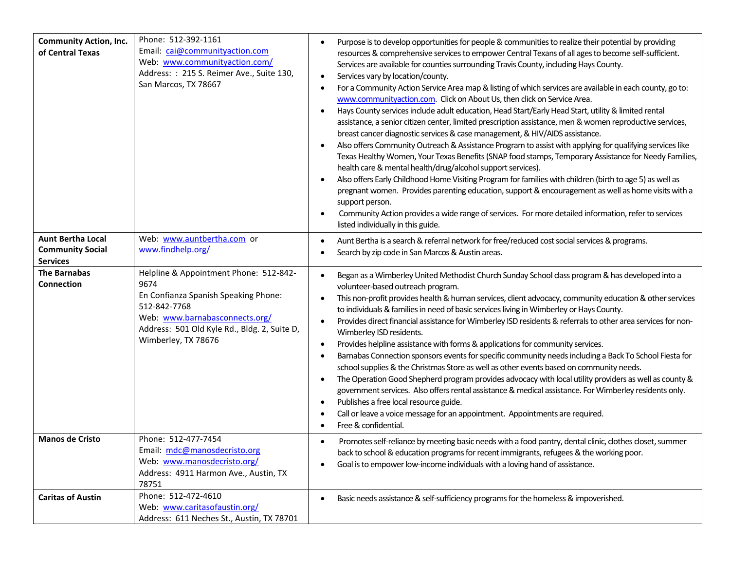| <b>Community Action, Inc.</b><br>of Central Texas                      | Phone: 512-392-1161<br>Email: cai@communityaction.com<br>Web: www.communityaction.com/<br>Address: : 215 S. Reimer Ave., Suite 130,<br>San Marcos, TX 78667                                                     | Purpose is to develop opportunities for people & communities to realize their potential by providing<br>$\bullet$<br>resources & comprehensive services to empower Central Texans of all ages to become self-sufficient.<br>Services are available for counties surrounding Travis County, including Hays County.<br>Services vary by location/county.<br>$\bullet$<br>For a Community Action Service Area map & listing of which services are available in each county, go to:<br>٠<br>www.communityaction.com. Click on About Us, then click on Service Area.<br>Hays County services include adult education, Head Start/Early Head Start, utility & limited rental<br>$\bullet$<br>assistance, a senior citizen center, limited prescription assistance, men & women reproductive services,<br>breast cancer diagnostic services & case management, & HIV/AIDS assistance.<br>Also offers Community Outreach & Assistance Program to assist with applying for qualifying services like<br>$\bullet$<br>Texas Healthy Women, Your Texas Benefits (SNAP food stamps, Temporary Assistance for Needy Families,<br>health care & mental health/drug/alcohol support services).<br>Also offers Early Childhood Home Visiting Program for families with children (birth to age 5) as well as<br>$\bullet$<br>pregnant women. Provides parenting education, support & encouragement as well as home visits with a<br>support person.<br>Community Action provides a wide range of services. For more detailed information, refer to services<br>$\bullet$<br>listed individually in this guide. |
|------------------------------------------------------------------------|-----------------------------------------------------------------------------------------------------------------------------------------------------------------------------------------------------------------|----------------------------------------------------------------------------------------------------------------------------------------------------------------------------------------------------------------------------------------------------------------------------------------------------------------------------------------------------------------------------------------------------------------------------------------------------------------------------------------------------------------------------------------------------------------------------------------------------------------------------------------------------------------------------------------------------------------------------------------------------------------------------------------------------------------------------------------------------------------------------------------------------------------------------------------------------------------------------------------------------------------------------------------------------------------------------------------------------------------------------------------------------------------------------------------------------------------------------------------------------------------------------------------------------------------------------------------------------------------------------------------------------------------------------------------------------------------------------------------------------------------------------------------------------------------------------------------------|
| <b>Aunt Bertha Local</b><br><b>Community Social</b><br><b>Services</b> | Web: www.auntbertha.com or<br>www.findhelp.org/                                                                                                                                                                 | Aunt Bertha is a search & referral network for free/reduced cost social services & programs.<br>$\bullet$<br>Search by zip code in San Marcos & Austin areas.                                                                                                                                                                                                                                                                                                                                                                                                                                                                                                                                                                                                                                                                                                                                                                                                                                                                                                                                                                                                                                                                                                                                                                                                                                                                                                                                                                                                                                |
| <b>The Barnabas</b><br><b>Connection</b>                               | Helpline & Appointment Phone: 512-842-<br>9674<br>En Confianza Spanish Speaking Phone:<br>512-842-7768<br>Web: www.barnabasconnects.org/<br>Address: 501 Old Kyle Rd., Bldg. 2, Suite D,<br>Wimberley, TX 78676 | Began as a Wimberley United Methodist Church Sunday School class program & has developed into a<br>$\bullet$<br>volunteer-based outreach program.<br>This non-profit provides health & human services, client advocacy, community education & other services<br>to individuals & families in need of basic services living in Wimberley or Hays County.<br>Provides direct financial assistance for Wimberley ISD residents & referrals to other area services for non-<br>$\bullet$<br>Wimberley ISD residents.<br>Provides helpline assistance with forms & applications for community services.<br>$\bullet$<br>Barnabas Connection sponsors events for specific community needs including a Back To School Fiesta for<br>$\bullet$<br>school supplies & the Christmas Store as well as other events based on community needs.<br>The Operation Good Shepherd program provides advocacy with local utility providers as well as county &<br>$\bullet$<br>government services. Also offers rental assistance & medical assistance. For Wimberley residents only.<br>Publishes a free local resource guide.<br>$\bullet$<br>Call or leave a voice message for an appointment. Appointments are required.<br>Free & confidential.                                                                                                                                                                                                                                                                                                                                                            |
| <b>Manos de Cristo</b>                                                 | Phone: 512-477-7454<br>Email: mdc@manosdecristo.org<br>Web: www.manosdecristo.org/<br>Address: 4911 Harmon Ave., Austin, TX<br>78751                                                                            | Promotes self-reliance by meeting basic needs with a food pantry, dental clinic, clothes closet, summer<br>$\bullet$<br>back to school & education programs for recent immigrants, refugees & the working poor.<br>Goal is to empower low-income individuals with a loving hand of assistance.<br>٠                                                                                                                                                                                                                                                                                                                                                                                                                                                                                                                                                                                                                                                                                                                                                                                                                                                                                                                                                                                                                                                                                                                                                                                                                                                                                          |
| <b>Caritas of Austin</b>                                               | Phone: 512-472-4610<br>Web: www.caritasofaustin.org/<br>Address: 611 Neches St., Austin, TX 78701                                                                                                               | Basic needs assistance & self-sufficiency programs for the homeless & impoverished.<br>$\bullet$                                                                                                                                                                                                                                                                                                                                                                                                                                                                                                                                                                                                                                                                                                                                                                                                                                                                                                                                                                                                                                                                                                                                                                                                                                                                                                                                                                                                                                                                                             |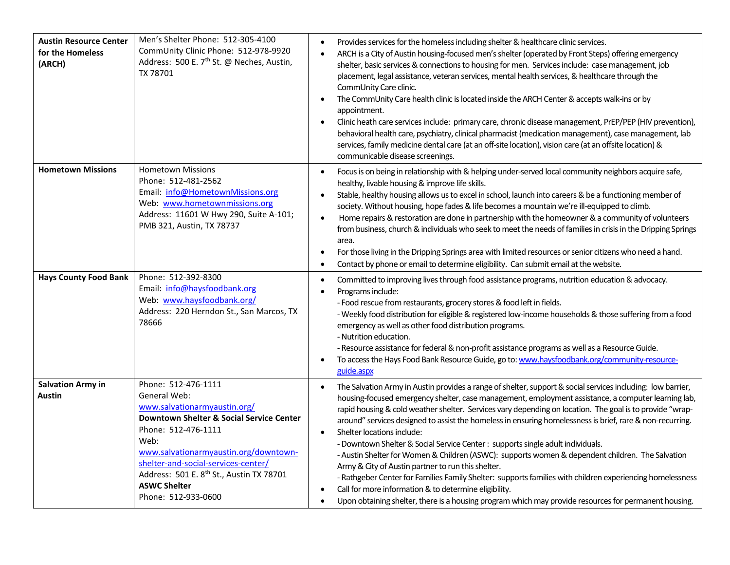| <b>Austin Resource Center</b><br>for the Homeless<br>(ARCH) | Men's Shelter Phone: 512-305-4100<br>CommUnity Clinic Phone: 512-978-9920<br>Address: 500 E. 7 <sup>th</sup> St. @ Neches, Austin,<br>TX 78701                                                                                                                                                                                                  | Provides services for the homeless including shelter & healthcare clinic services.<br>$\bullet$<br>ARCH is a City of Austin housing-focused men's shelter (operated by Front Steps) offering emergency<br>$\bullet$<br>shelter, basic services & connections to housing for men. Services include: case management, job<br>placement, legal assistance, veteran services, mental health services, & healthcare through the<br>CommUnity Care clinic.<br>The CommUnity Care health clinic is located inside the ARCH Center & accepts walk-ins or by<br>$\bullet$<br>appointment.<br>Clinic heath care services include: primary care, chronic disease management, PrEP/PEP (HIV prevention),<br>$\bullet$<br>behavioral health care, psychiatry, clinical pharmacist (medication management), case management, lab<br>services, family medicine dental care (at an off-site location), vision care (at an offsite location) &<br>communicable disease screenings.                                                                                         |
|-------------------------------------------------------------|-------------------------------------------------------------------------------------------------------------------------------------------------------------------------------------------------------------------------------------------------------------------------------------------------------------------------------------------------|-----------------------------------------------------------------------------------------------------------------------------------------------------------------------------------------------------------------------------------------------------------------------------------------------------------------------------------------------------------------------------------------------------------------------------------------------------------------------------------------------------------------------------------------------------------------------------------------------------------------------------------------------------------------------------------------------------------------------------------------------------------------------------------------------------------------------------------------------------------------------------------------------------------------------------------------------------------------------------------------------------------------------------------------------------------|
| <b>Hometown Missions</b>                                    | <b>Hometown Missions</b><br>Phone: 512-481-2562<br>Email: info@HometownMissions.org<br>Web: www.hometownmissions.org<br>Address: 11601 W Hwy 290, Suite A-101;<br>PMB 321, Austin, TX 78737                                                                                                                                                     | Focus is on being in relationship with & helping under-served local community neighbors acquire safe,<br>$\bullet$<br>healthy, livable housing & improve life skills.<br>Stable, healthy housing allows us to excel in school, launch into careers & be a functioning member of<br>$\bullet$<br>society. Without housing, hope fades & life becomes a mountain we're ill-equipped to climb.<br>Home repairs & restoration are done in partnership with the homeowner & a community of volunteers<br>$\bullet$<br>from business, church & individuals who seek to meet the needs of families in crisis in the Dripping Springs<br>area.<br>For those living in the Dripping Springs area with limited resources or senior citizens who need a hand.<br>$\bullet$<br>Contact by phone or email to determine eligibility. Can submit email at the website.<br>$\bullet$                                                                                                                                                                                      |
| <b>Hays County Food Bank</b>                                | Phone: 512-392-8300<br>Email: info@haysfoodbank.org<br>Web: www.haysfoodbank.org/<br>Address: 220 Herndon St., San Marcos, TX<br>78666                                                                                                                                                                                                          | Committed to improving lives through food assistance programs, nutrition education & advocacy.<br>$\bullet$<br>Programs include:<br>- Food rescue from restaurants, grocery stores & food left in fields.<br>- Weekly food distribution for eligible & registered low-income households & those suffering from a food<br>emergency as well as other food distribution programs.<br>- Nutrition education.<br>- Resource assistance for federal & non-profit assistance programs as well as a Resource Guide.<br>To access the Hays Food Bank Resource Guide, go to: www.haysfoodbank.org/community-resource-<br>$\bullet$<br>guide.aspx                                                                                                                                                                                                                                                                                                                                                                                                                   |
| <b>Salvation Army in</b><br>Austin                          | Phone: 512-476-1111<br>General Web:<br>www.salvationarmyaustin.org/<br><b>Downtown Shelter &amp; Social Service Center</b><br>Phone: 512-476-1111<br>Web:<br>www.salvationarmyaustin.org/downtown-<br>shelter-and-social-services-center/<br>Address: 501 E. 8 <sup>th</sup> St., Austin TX 78701<br><b>ASWC Shelter</b><br>Phone: 512-933-0600 | The Salvation Army in Austin provides a range of shelter, support & social services including: low barrier,<br>$\bullet$<br>housing-focused emergency shelter, case management, employment assistance, a computer learning lab,<br>rapid housing & cold weather shelter. Services vary depending on location. The goal is to provide "wrap-<br>around" services designed to assist the homeless in ensuring homelessness is brief, rare & non-recurring.<br>Shelter locations include:<br>$\bullet$<br>- Downtown Shelter & Social Service Center : supports single adult individuals.<br>- Austin Shelter for Women & Children (ASWC): supports women & dependent children. The Salvation<br>Army & City of Austin partner to run this shelter.<br>- Rathgeber Center for Families Family Shelter: supports families with children experiencing homelessness<br>Call for more information & to determine eligibility.<br>$\bullet$<br>Upon obtaining shelter, there is a housing program which may provide resources for permanent housing.<br>$\bullet$ |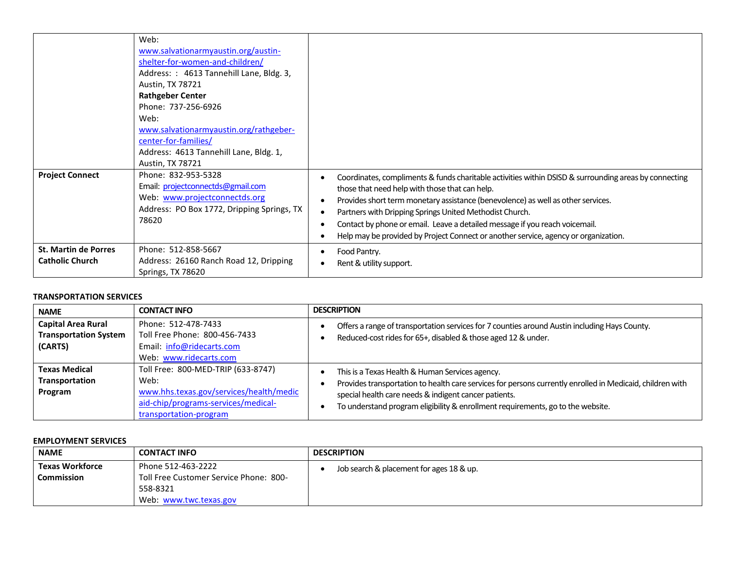|                                                       | Web:<br>www.salvationarmyaustin.org/austin-<br>shelter-for-women-and-children/<br>Address: : 4613 Tannehill Lane, Bldg. 3,<br>Austin, TX 78721<br><b>Rathgeber Center</b><br>Phone: 737-256-6926<br>Web:<br>www.salvationarmyaustin.org/rathgeber-<br>center-for-families/<br>Address: 4613 Tannehill Lane, Bldg. 1,<br>Austin, TX 78721 |                                                                                                                                                                                                                                                                                                                                                                                                                                                                                   |
|-------------------------------------------------------|------------------------------------------------------------------------------------------------------------------------------------------------------------------------------------------------------------------------------------------------------------------------------------------------------------------------------------------|-----------------------------------------------------------------------------------------------------------------------------------------------------------------------------------------------------------------------------------------------------------------------------------------------------------------------------------------------------------------------------------------------------------------------------------------------------------------------------------|
| <b>Project Connect</b>                                | Phone: 832-953-5328<br>Email: projectconnectds@gmail.com<br>Web: www.projectconnectds.org<br>Address: PO Box 1772, Dripping Springs, TX<br>78620                                                                                                                                                                                         | Coordinates, compliments & funds charitable activities within DSISD & surrounding areas by connecting<br>those that need help with those that can help.<br>Provides short term monetary assistance (benevolence) as well as other services.<br>٠<br>Partners with Dripping Springs United Methodist Church.<br>Contact by phone or email. Leave a detailed message if you reach voicemail.<br>Help may be provided by Project Connect or another service, agency or organization. |
| <b>St. Martin de Porres</b><br><b>Catholic Church</b> | Phone: 512-858-5667<br>Address: 26160 Ranch Road 12, Dripping<br>Springs, TX 78620                                                                                                                                                                                                                                                       | Food Pantry.<br>Rent & utility support.                                                                                                                                                                                                                                                                                                                                                                                                                                           |

### **TRANSPORTATION SERVICES**

| <b>NAME</b>                                                          | <b>CONTACT INFO</b>                                                                                                                                    | <b>DESCRIPTION</b>                                                                                                                                                                                                                                                                                       |
|----------------------------------------------------------------------|--------------------------------------------------------------------------------------------------------------------------------------------------------|----------------------------------------------------------------------------------------------------------------------------------------------------------------------------------------------------------------------------------------------------------------------------------------------------------|
| <b>Capital Area Rural</b><br><b>Transportation System</b><br>(CARTS) | Phone: 512-478-7433<br>Toll Free Phone: 800-456-7433<br>Email: info@ridecarts.com<br>Web: www.ridecarts.com                                            | Offers a range of transportation services for 7 counties around Austin including Hays County.<br>Reduced-cost rides for 65+, disabled & those aged 12 & under.                                                                                                                                           |
| <b>Texas Medical</b><br><b>Transportation</b><br>Program             | Toll Free: 800-MED-TRIP (633-8747)<br>Web:<br>www.hhs.texas.gov/services/health/medic<br>aid-chip/programs-services/medical-<br>transportation-program | This is a Texas Health & Human Services agency.<br>Provides transportation to health care services for persons currently enrolled in Medicaid, children with<br>special health care needs & indigent cancer patients.<br>To understand program eligibility & enrollment requirements, go to the website. |

### **EMPLOYMENT SERVICES**

| <b>NAME</b>                          | <b>CONTACT INFO</b>                                                                                | <b>DESCRIPTION</b>                       |
|--------------------------------------|----------------------------------------------------------------------------------------------------|------------------------------------------|
| <b>Texas Workforce</b><br>Commission | Phone 512-463-2222<br>Toll Free Customer Service Phone: 800-<br>558-8321<br>Web: www.twc.texas.gov | Job search & placement for ages 18 & up. |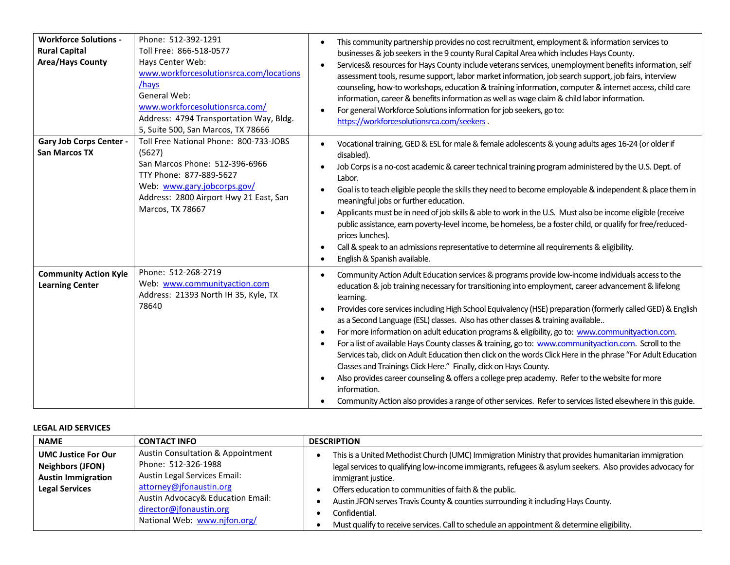| <b>Workforce Solutions -</b><br><b>Rural Capital</b><br><b>Area/Hays County</b> | Phone: 512-392-1291<br>Toll Free: 866-518-0577<br>Hays Center Web:<br>www.workforcesolutionsrca.com/locations<br>/hays<br>General Web:<br>www.workforcesolutionsrca.com/<br>Address: 4794 Transportation Way, Bldg.<br>5, Suite 500, San Marcos, TX 78666 | This community partnership provides no cost recruitment, employment & information services to<br>businesses & job seekers in the 9 county Rural Capital Area which includes Hays County.<br>Services& resources for Hays County include veterans services, unemployment benefits information, self<br>$\bullet$<br>assessment tools, resume support, labor market information, job search support, job fairs, interview<br>counseling, how-to workshops, education & training information, computer & internet access, child care<br>information, career & benefits information as well as wage claim & child labor information.<br>For general Workforce Solutions information for job seekers, go to:<br>$\bullet$<br>https://workforcesolutionsrca.com/seekers.                                                                                                                                                                                                                                                                                                                                                        |
|---------------------------------------------------------------------------------|-----------------------------------------------------------------------------------------------------------------------------------------------------------------------------------------------------------------------------------------------------------|---------------------------------------------------------------------------------------------------------------------------------------------------------------------------------------------------------------------------------------------------------------------------------------------------------------------------------------------------------------------------------------------------------------------------------------------------------------------------------------------------------------------------------------------------------------------------------------------------------------------------------------------------------------------------------------------------------------------------------------------------------------------------------------------------------------------------------------------------------------------------------------------------------------------------------------------------------------------------------------------------------------------------------------------------------------------------------------------------------------------------|
| <b>Gary Job Corps Center -</b><br><b>San Marcos TX</b>                          | Toll Free National Phone: 800-733-JOBS<br>(5627)<br>San Marcos Phone: 512-396-6966<br>TTY Phone: 877-889-5627<br>Web: www.gary.jobcorps.gov/<br>Address: 2800 Airport Hwy 21 East, San<br>Marcos, TX 78667                                                | Vocational training, GED & ESL for male & female adolescents & young adults ages 16-24 (or older if<br>disabled).<br>Job Corps is a no-cost academic & career technical training program administered by the U.S. Dept. of<br>Labor.<br>Goal is to teach eligible people the skills they need to become employable & independent & place them in<br>$\bullet$<br>meaningful jobs or further education.<br>Applicants must be in need of job skills & able to work in the U.S. Must also be income eligible (receive<br>$\bullet$<br>public assistance, earn poverty-level income, be homeless, be a foster child, or qualify for free/reduced-<br>prices lunches).<br>Call & speak to an admissions representative to determine all requirements & eligibility.<br>$\bullet$<br>English & Spanish available.<br>$\bullet$                                                                                                                                                                                                                                                                                                 |
| <b>Community Action Kyle</b><br><b>Learning Center</b>                          | Phone: 512-268-2719<br>Web: www.communityaction.com<br>Address: 21393 North IH 35, Kyle, TX<br>78640                                                                                                                                                      | Community Action Adult Education services & programs provide low-income individuals access to the<br>$\bullet$<br>education & job training necessary for transitioning into employment, career advancement & lifelong<br>learning.<br>Provides core services including High School Equivalency (HSE) preparation (formerly called GED) & English<br>$\bullet$<br>as a Second Language (ESL) classes. Also has other classes & training available<br>For more information on adult education programs & eligibility, go to: www.communityaction.com.<br>$\bullet$<br>For a list of available Hays County classes & training, go to: www.communityaction.com. Scroll to the<br>$\bullet$<br>Services tab, click on Adult Education then click on the words Click Here in the phrase "For Adult Education<br>Classes and Trainings Click Here." Finally, click on Hays County.<br>Also provides career counseling & offers a college prep academy. Refer to the website for more<br>$\bullet$<br>information.<br>Community Action also provides a range of other services. Refer to services listed elsewhere in this guide. |

## **LEGAL AID SERVICES**

| <b>NAME</b>                                                                        | <b>CONTACT INFO</b>                                                                                                            | <b>DESCRIPTION</b>                                                                                                                                                                                                                     |
|------------------------------------------------------------------------------------|--------------------------------------------------------------------------------------------------------------------------------|----------------------------------------------------------------------------------------------------------------------------------------------------------------------------------------------------------------------------------------|
| <b>UMC Justice For Our</b><br><b>Neighbors (JFON)</b><br><b>Austin Immigration</b> | <b>Austin Consultation &amp; Appointment</b><br>Phone: 512-326-1988<br>Austin Legal Services Email:<br>attorney@jfonaustin.org | This is a United Methodist Church (UMC) Immigration Ministry that provides humanitarian immigration<br>legal services to qualifying low-income immigrants, refugees & asylum seekers. Also provides advocacy for<br>immigrant justice. |
| <b>Legal Services</b>                                                              | Austin Advocacy& Education Email:<br>director@jfonaustin.org<br>National Web: www.njfon.org/                                   | Offers education to communities of faith & the public.<br>Austin JFON serves Travis County & counties surrounding it including Hays County.<br>Confidential.                                                                           |
|                                                                                    |                                                                                                                                | Must qualify to receive services. Call to schedule an appointment & determine eligibility.                                                                                                                                             |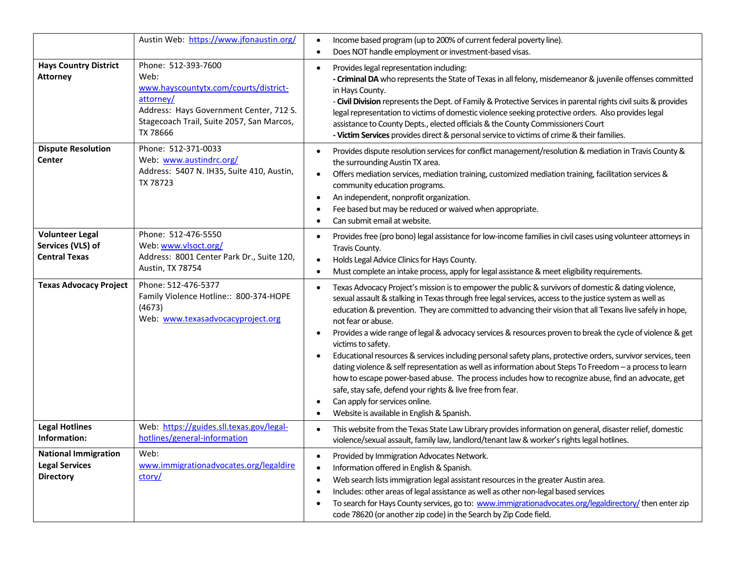|                                                                          | Austin Web: https://www.jfonaustin.org/                                                                                                                                               | Income based program (up to 200% of current federal poverty line).<br>Does NOT handle employment or investment-based visas.                                                                                                                                                                                                                                                                                                                                                                                                                                                                                                                                                                                                                                                                                                                                                                                                                                             |
|--------------------------------------------------------------------------|---------------------------------------------------------------------------------------------------------------------------------------------------------------------------------------|-------------------------------------------------------------------------------------------------------------------------------------------------------------------------------------------------------------------------------------------------------------------------------------------------------------------------------------------------------------------------------------------------------------------------------------------------------------------------------------------------------------------------------------------------------------------------------------------------------------------------------------------------------------------------------------------------------------------------------------------------------------------------------------------------------------------------------------------------------------------------------------------------------------------------------------------------------------------------|
| <b>Hays Country District</b><br><b>Attorney</b>                          | Phone: 512-393-7600<br>Web:<br>www.hayscountytx.com/courts/district-<br>attorney/<br>Address: Hays Government Center, 712 S.<br>Stagecoach Trail, Suite 2057, San Marcos,<br>TX 78666 | Provides legal representation including:<br>- Criminal DA who represents the State of Texas in all felony, misdemeanor & juvenile offenses committed<br>in Hays County.<br>- Civil Division represents the Dept. of Family & Protective Services in parental rights civil suits & provides<br>legal representation to victims of domestic violence seeking protective orders. Also provides legal<br>assistance to County Depts., elected officials & the County Commissioners Court<br>- Victim Services provides direct & personal service to victims of crime & their families.                                                                                                                                                                                                                                                                                                                                                                                      |
| <b>Dispute Resolution</b><br>Center                                      | Phone: 512-371-0033<br>Web: www.austindrc.org/<br>Address: 5407 N. IH35, Suite 410, Austin,<br>TX 78723                                                                               | Provides dispute resolution services for conflict management/resolution & mediation in Travis County &<br>the surrounding Austin TX area.<br>Offers mediation services, mediation training, customized mediation training, facilitation services &<br>$\bullet$<br>community education programs.<br>An independent, nonprofit organization.<br>Fee based but may be reduced or waived when appropriate.<br>Can submit email at website.                                                                                                                                                                                                                                                                                                                                                                                                                                                                                                                                 |
| <b>Volunteer Legal</b><br>Services (VLS) of<br><b>Central Texas</b>      | Phone: 512-476-5550<br>Web: www.vlsoct.org/<br>Address: 8001 Center Park Dr., Suite 120,<br>Austin, TX 78754                                                                          | Provides free (pro bono) legal assistance for low-income families in civil cases using volunteer attorneys in<br>Travis County.<br>Holds Legal Advice Clinics for Hays County.<br>Must complete an intake process, apply for legal assistance & meet eligibility requirements.                                                                                                                                                                                                                                                                                                                                                                                                                                                                                                                                                                                                                                                                                          |
| <b>Texas Advocacy Project</b>                                            | Phone: 512-476-5377<br>Family Violence Hotline:: 800-374-HOPE<br>(4673)<br>Web: www.texasadvocacyproject.org                                                                          | Texas Advocacy Project's mission is to empower the public & survivors of domestic & dating violence,<br>sexual assault & stalking in Texas through free legal services, access to the justice system as well as<br>education & prevention. They are committed to advancing their vision that all Texans live safely in hope,<br>not fear or abuse.<br>Provides a wide range of legal & advocacy services & resources proven to break the cycle of violence & get<br>victims to safety.<br>Educational resources & services including personal safety plans, protective orders, survivor services, teen<br>dating violence & self representation as well as information about Steps To Freedom - a process to learn<br>how to escape power-based abuse. The process includes how to recognize abuse, find an advocate, get<br>safe, stay safe, defend your rights & live free from fear.<br>Can apply for services online.<br>Website is available in English & Spanish. |
| <b>Legal Hotlines</b><br>Information:                                    | Web: https://guides.sll.texas.gov/legal-<br>hotlines/general-information                                                                                                              | This website from the Texas State Law Library provides information on general, disaster relief, domestic<br>violence/sexual assault, family law, landlord/tenant law & worker's rights legal hotlines.                                                                                                                                                                                                                                                                                                                                                                                                                                                                                                                                                                                                                                                                                                                                                                  |
| <b>National Immigration</b><br><b>Legal Services</b><br><b>Directory</b> | Web:<br>www.immigrationadvocates.org/legaldire<br>ctory/                                                                                                                              | Provided by Immigration Advocates Network.<br>$\bullet$<br>Information offered in English & Spanish.<br>Web search lists immigration legal assistant resources in the greater Austin area.<br>Includes: other areas of legal assistance as well as other non-legal based services<br>To search for Hays County services, go to: www.immigrationadvocates.org/legaldirectory/ then enter zip<br>code 78620 (or another zip code) in the Search by Zip Code field.                                                                                                                                                                                                                                                                                                                                                                                                                                                                                                        |